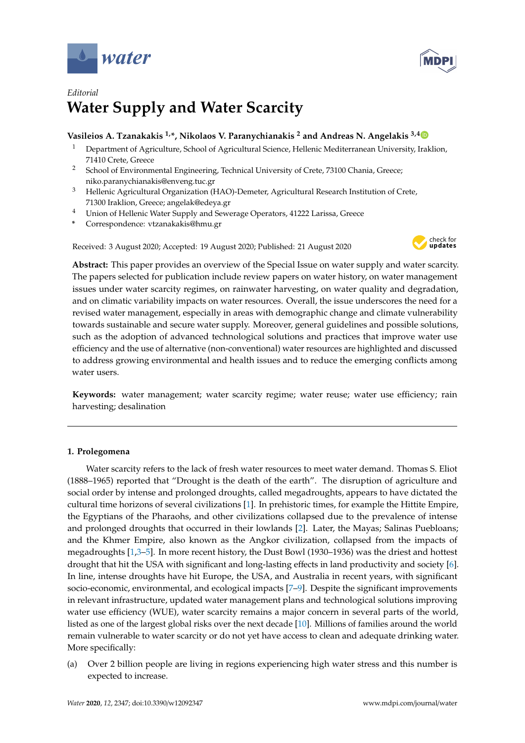



# *Editorial* **Water Supply and Water Scarcity**

# **Vasileios A. Tzanakakis 1,\*, Nikolaos V. Paranychianakis <sup>2</sup> and Andreas N. Angelakis 3,[4](https://orcid.org/0000-0002-3073-596X)**

- <sup>1</sup> Department of Agriculture, School of Agricultural Science, Hellenic Mediterranean University, Iraklion, 71410 Crete, Greece
- <sup>2</sup> School of Environmental Engineering, Technical University of Crete, 73100 Chania, Greece; niko.paranychianakis@enveng.tuc.gr
- <sup>3</sup> Hellenic Agricultural Organization (HAO)-Demeter, Agricultural Research Institution of Crete, 71300 Iraklion, Greece; angelak@edeya.gr
- <sup>4</sup> Union of Hellenic Water Supply and Sewerage Operators, 41222 Larissa, Greece
- **\*** Correspondence: vtzanakakis@hmu.gr

Received: 3 August 2020; Accepted: 19 August 2020; Published: 21 August 2020



**Abstract:** This paper provides an overview of the Special Issue on water supply and water scarcity. The papers selected for publication include review papers on water history, on water management issues under water scarcity regimes, on rainwater harvesting, on water quality and degradation, and on climatic variability impacts on water resources. Overall, the issue underscores the need for a revised water management, especially in areas with demographic change and climate vulnerability towards sustainable and secure water supply. Moreover, general guidelines and possible solutions, such as the adoption of advanced technological solutions and practices that improve water use efficiency and the use of alternative (non-conventional) water resources are highlighted and discussed to address growing environmental and health issues and to reduce the emerging conflicts among water users.

Keywords: water management; water scarcity regime; water reuse; water use efficiency; rain harvesting; desalination

## **1. Prolegomena**

Water scarcity refers to the lack of fresh water resources to meet water demand. Thomas S. Eliot (1888–1965) reported that "Drought is the death of the earth". The disruption of agriculture and social order by intense and prolonged droughts, called megadroughts, appears to have dictated the cultural time horizons of several civilizations [\[1\]](#page-9-0). In prehistoric times, for example the Hittite Empire, the Egyptians of the Pharaohs, and other civilizations collapsed due to the prevalence of intense and prolonged droughts that occurred in their lowlands [\[2\]](#page-9-1). Later, the Mayas; Salinas Puebloans; and the Khmer Empire, also known as the Angkor civilization, collapsed from the impacts of megadroughts [\[1,](#page-9-0)[3](#page-9-2)[–5\]](#page-9-3). In more recent history, the Dust Bowl (1930–1936) was the driest and hottest drought that hit the USA with significant and long-lasting effects in land productivity and society [\[6\]](#page-9-4). In line, intense droughts have hit Europe, the USA, and Australia in recent years, with significant socio-economic, environmental, and ecological impacts [\[7–](#page-9-5)[9\]](#page-10-0). Despite the significant improvements in relevant infrastructure, updated water management plans and technological solutions improving water use efficiency (WUE), water scarcity remains a major concern in several parts of the world, listed as one of the largest global risks over the next decade [\[10\]](#page-10-1). Millions of families around the world remain vulnerable to water scarcity or do not yet have access to clean and adequate drinking water. More specifically:

(a) Over 2 billion people are living in regions experiencing high water stress and this number is expected to increase.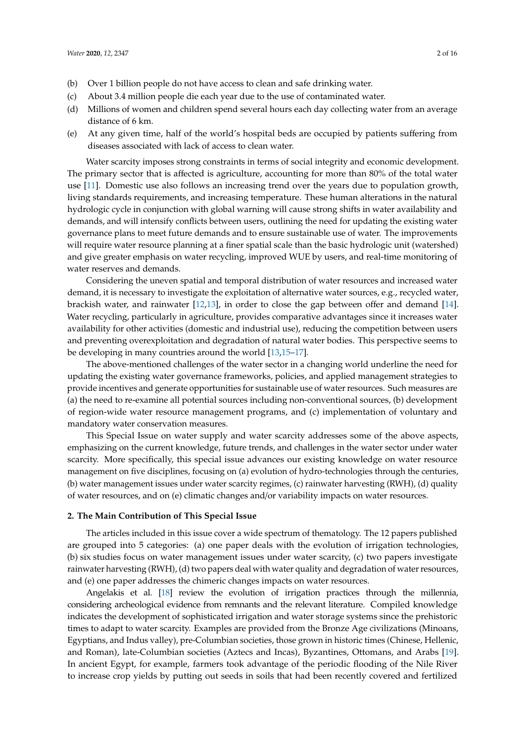- (b) Over 1 billion people do not have access to clean and safe drinking water.
- (c) About 3.4 million people die each year due to the use of contaminated water.
- (d) Millions of women and children spend several hours each day collecting water from an average distance of 6 km.
- (e) At any given time, half of the world's hospital beds are occupied by patients suffering from diseases associated with lack of access to clean water.

Water scarcity imposes strong constraints in terms of social integrity and economic development. The primary sector that is affected is agriculture, accounting for more than 80% of the total water use [\[11\]](#page-10-2). Domestic use also follows an increasing trend over the years due to population growth, living standards requirements, and increasing temperature. These human alterations in the natural hydrologic cycle in conjunction with global warning will cause strong shifts in water availability and demands, and will intensify conflicts between users, outlining the need for updating the existing water governance plans to meet future demands and to ensure sustainable use of water. The improvements will require water resource planning at a finer spatial scale than the basic hydrologic unit (watershed) and give greater emphasis on water recycling, improved WUE by users, and real-time monitoring of water reserves and demands.

Considering the uneven spatial and temporal distribution of water resources and increased water demand, it is necessary to investigate the exploitation of alternative water sources, e.g., recycled water, brackish water, and rainwater [\[12,](#page-10-3)[13\]](#page-10-4), in order to close the gap between offer and demand [\[14\]](#page-10-5). Water recycling, particularly in agriculture, provides comparative advantages since it increases water availability for other activities (domestic and industrial use), reducing the competition between users and preventing overexploitation and degradation of natural water bodies. This perspective seems to be developing in many countries around the world [\[13](#page-10-4)[,15](#page-10-6)[–17\]](#page-10-7).

The above-mentioned challenges of the water sector in a changing world underline the need for updating the existing water governance frameworks, policies, and applied management strategies to provide incentives and generate opportunities for sustainable use of water resources. Such measures are (a) the need to re-examine all potential sources including non-conventional sources, (b) development of region-wide water resource management programs, and (c) implementation of voluntary and mandatory water conservation measures.

This Special Issue on water supply and water scarcity addresses some of the above aspects, emphasizing on the current knowledge, future trends, and challenges in the water sector under water scarcity. More specifically, this special issue advances our existing knowledge on water resource management on five disciplines, focusing on (a) evolution of hydro-technologies through the centuries, (b) water management issues under water scarcity regimes, (c) rainwater harvesting (RWH), (d) quality of water resources, and on (e) climatic changes and/or variability impacts on water resources.

#### **2. The Main Contribution of This Special Issue**

The articles included in this issue cover a wide spectrum of thematology. The 12 papers published are grouped into 5 categories: (a) one paper deals with the evolution of irrigation technologies, (b) six studies focus on water management issues under water scarcity, (c) two papers investigate rainwater harvesting (RWH), (d) two papers deal with water quality and degradation of water resources, and (e) one paper addresses the chimeric changes impacts on water resources.

Angelakis et al. [\[18\]](#page-10-8) review the evolution of irrigation practices through the millennia, considering archeological evidence from remnants and the relevant literature. Compiled knowledge indicates the development of sophisticated irrigation and water storage systems since the prehistoric times to adapt to water scarcity. Examples are provided from the Bronze Age civilizations (Minoans, Egyptians, and Indus valley), pre-Columbian societies, those grown in historic times (Chinese, Hellenic, and Roman), late-Columbian societies (Aztecs and Incas), Byzantines, Ottomans, and Arabs [\[19\]](#page-10-9). In ancient Egypt, for example, farmers took advantage of the periodic flooding of the Nile River to increase crop yields by putting out seeds in soils that had been recently covered and fertilized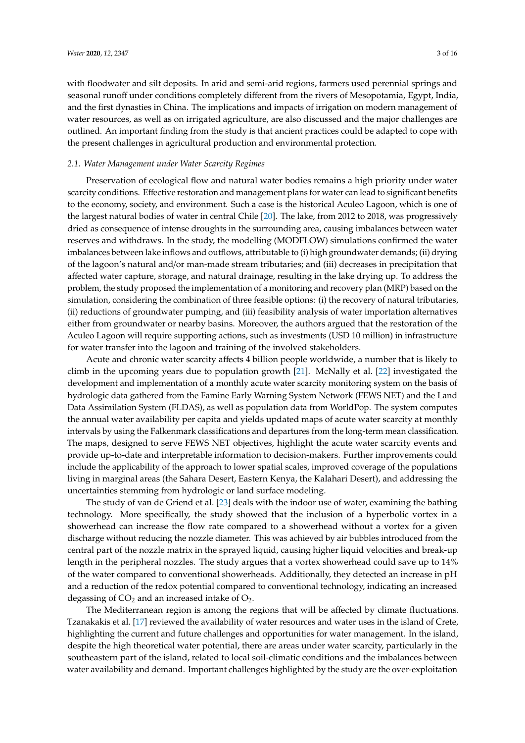with floodwater and silt deposits. In arid and semi-arid regions, farmers used perennial springs and seasonal runoff under conditions completely different from the rivers of Mesopotamia, Egypt, India, and the first dynasties in China. The implications and impacts of irrigation on modern management of water resources, as well as on irrigated agriculture, are also discussed and the major challenges are outlined. An important finding from the study is that ancient practices could be adapted to cope with the present challenges in agricultural production and environmental protection.

#### *2.1. Water Management under Water Scarcity Regimes*

Preservation of ecological flow and natural water bodies remains a high priority under water scarcity conditions. Effective restoration and management plans for water can lead to significant benefits to the economy, society, and environment. Such a case is the historical Aculeo Lagoon, which is one of the largest natural bodies of water in central Chile [\[20\]](#page-10-10). The lake, from 2012 to 2018, was progressively dried as consequence of intense droughts in the surrounding area, causing imbalances between water reserves and withdraws. In the study, the modelling (MODFLOW) simulations confirmed the water imbalances between lake inflows and outflows, attributable to (i) high groundwater demands; (ii) drying of the lagoon's natural and/or man-made stream tributaries; and (iii) decreases in precipitation that affected water capture, storage, and natural drainage, resulting in the lake drying up. To address the problem, the study proposed the implementation of a monitoring and recovery plan (MRP) based on the simulation, considering the combination of three feasible options: (i) the recovery of natural tributaries, (ii) reductions of groundwater pumping, and (iii) feasibility analysis of water importation alternatives either from groundwater or nearby basins. Moreover, the authors argued that the restoration of the Aculeo Lagoon will require supporting actions, such as investments (USD 10 million) in infrastructure for water transfer into the lagoon and training of the involved stakeholders.

Acute and chronic water scarcity affects 4 billion people worldwide, a number that is likely to climb in the upcoming years due to population growth [\[21\]](#page-10-11). McNally et al. [\[22\]](#page-10-12) investigated the development and implementation of a monthly acute water scarcity monitoring system on the basis of hydrologic data gathered from the Famine Early Warning System Network (FEWS NET) and the Land Data Assimilation System (FLDAS), as well as population data from WorldPop. The system computes the annual water availability per capita and yields updated maps of acute water scarcity at monthly intervals by using the Falkenmark classifications and departures from the long-term mean classification. The maps, designed to serve FEWS NET objectives, highlight the acute water scarcity events and provide up-to-date and interpretable information to decision-makers. Further improvements could include the applicability of the approach to lower spatial scales, improved coverage of the populations living in marginal areas (the Sahara Desert, Eastern Kenya, the Kalahari Desert), and addressing the uncertainties stemming from hydrologic or land surface modeling.

The study of van de Griend et al. [\[23\]](#page-10-13) deals with the indoor use of water, examining the bathing technology. More specifically, the study showed that the inclusion of a hyperbolic vortex in a showerhead can increase the flow rate compared to a showerhead without a vortex for a given discharge without reducing the nozzle diameter. This was achieved by air bubbles introduced from the central part of the nozzle matrix in the sprayed liquid, causing higher liquid velocities and break-up length in the peripheral nozzles. The study argues that a vortex showerhead could save up to 14% of the water compared to conventional showerheads. Additionally, they detected an increase in pH and a reduction of the redox potential compared to conventional technology, indicating an increased degassing of  $CO<sub>2</sub>$  and an increased intake of  $O<sub>2</sub>$ .

The Mediterranean region is among the regions that will be affected by climate fluctuations. Tzanakakis et al. [\[17\]](#page-10-7) reviewed the availability of water resources and water uses in the island of Crete, highlighting the current and future challenges and opportunities for water management. In the island, despite the high theoretical water potential, there are areas under water scarcity, particularly in the southeastern part of the island, related to local soil-climatic conditions and the imbalances between water availability and demand. Important challenges highlighted by the study are the over-exploitation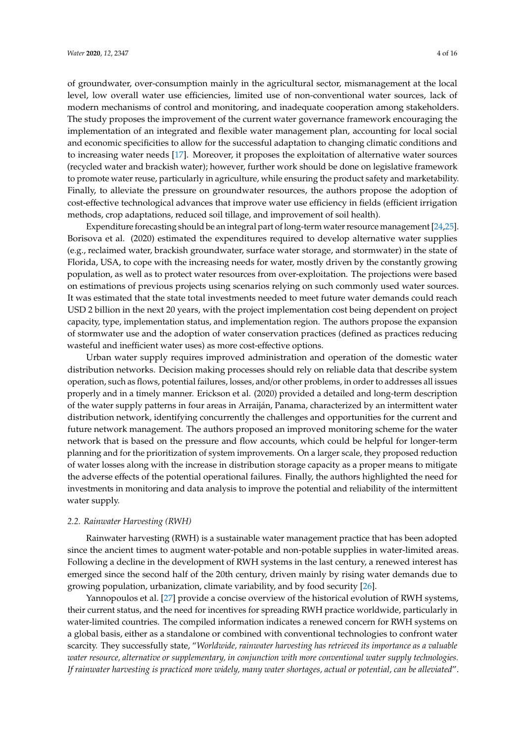of groundwater, over-consumption mainly in the agricultural sector, mismanagement at the local level, low overall water use efficiencies, limited use of non-conventional water sources, lack of modern mechanisms of control and monitoring, and inadequate cooperation among stakeholders. The study proposes the improvement of the current water governance framework encouraging the implementation of an integrated and flexible water management plan, accounting for local social and economic specificities to allow for the successful adaptation to changing climatic conditions and to increasing water needs [\[17\]](#page-10-7). Moreover, it proposes the exploitation of alternative water sources (recycled water and brackish water); however, further work should be done on legislative framework to promote water reuse, particularly in agriculture, while ensuring the product safety and marketability. Finally, to alleviate the pressure on groundwater resources, the authors propose the adoption of cost-effective technological advances that improve water use efficiency in fields (efficient irrigation methods, crop adaptations, reduced soil tillage, and improvement of soil health).

Expenditure forecasting should be an integral part of long-term water resource management [\[24](#page-10-14)[,25\]](#page-10-15). Borisova et al. (2020) estimated the expenditures required to develop alternative water supplies (e.g., reclaimed water, brackish groundwater, surface water storage, and stormwater) in the state of Florida, USA, to cope with the increasing needs for water, mostly driven by the constantly growing population, as well as to protect water resources from over-exploitation. The projections were based on estimations of previous projects using scenarios relying on such commonly used water sources. It was estimated that the state total investments needed to meet future water demands could reach USD 2 billion in the next 20 years, with the project implementation cost being dependent on project capacity, type, implementation status, and implementation region. The authors propose the expansion of stormwater use and the adoption of water conservation practices (defined as practices reducing wasteful and inefficient water uses) as more cost-effective options.

Urban water supply requires improved administration and operation of the domestic water distribution networks. Decision making processes should rely on reliable data that describe system operation, such as flows, potential failures, losses, and/or other problems, in order to addresses all issues properly and in a timely manner. Erickson et al. (2020) provided a detailed and long-term description of the water supply patterns in four areas in Arraiján, Panama, characterized by an intermittent water distribution network, identifying concurrently the challenges and opportunities for the current and future network management. The authors proposed an improved monitoring scheme for the water network that is based on the pressure and flow accounts, which could be helpful for longer-term planning and for the prioritization of system improvements. On a larger scale, they proposed reduction of water losses along with the increase in distribution storage capacity as a proper means to mitigate the adverse effects of the potential operational failures. Finally, the authors highlighted the need for investments in monitoring and data analysis to improve the potential and reliability of the intermittent water supply.

#### *2.2. Rainwater Harvesting (RWH)*

Rainwater harvesting (RWH) is a sustainable water management practice that has been adopted since the ancient times to augment water-potable and non-potable supplies in water-limited areas. Following a decline in the development of RWH systems in the last century, a renewed interest has emerged since the second half of the 20th century, driven mainly by rising water demands due to growing population, urbanization, climate variability, and by food security [\[26\]](#page-10-16).

Yannopoulos et al. [\[27\]](#page-10-17) provide a concise overview of the historical evolution of RWH systems, their current status, and the need for incentives for spreading RWH practice worldwide, particularly in water-limited countries. The compiled information indicates a renewed concern for RWH systems on a global basis, either as a standalone or combined with conventional technologies to confront water scarcity. They successfully state, "*Worldwide, rainwater harvesting has retrieved its importance as a valuable water resource, alternative or supplementary, in conjunction with more conventional water supply technologies. If rainwater harvesting is practiced more widely, many water shortages, actual or potential, can be alleviated*".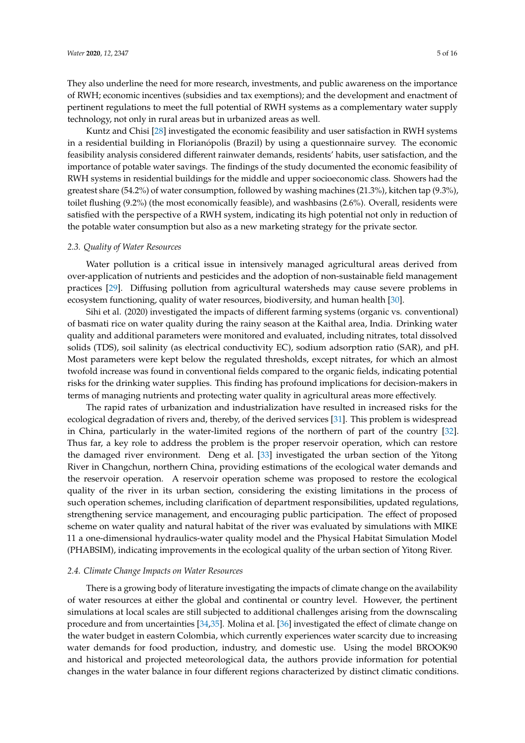They also underline the need for more research, investments, and public awareness on the importance of RWH; economic incentives (subsidies and tax exemptions); and the development and enactment of pertinent regulations to meet the full potential of RWH systems as a complementary water supply technology, not only in rural areas but in urbanized areas as well.

Kuntz and Chisi [\[28\]](#page-10-18) investigated the economic feasibility and user satisfaction in RWH systems in a residential building in Florianópolis (Brazil) by using a questionnaire survey. The economic feasibility analysis considered different rainwater demands, residents' habits, user satisfaction, and the importance of potable water savings. The findings of the study documented the economic feasibility of RWH systems in residential buildings for the middle and upper socioeconomic class. Showers had the greatest share (54.2%) of water consumption, followed by washing machines (21.3%), kitchen tap (9.3%), toilet flushing (9.2%) (the most economically feasible), and washbasins (2.6%). Overall, residents were satisfied with the perspective of a RWH system, indicating its high potential not only in reduction of the potable water consumption but also as a new marketing strategy for the private sector.

#### *2.3. Quality of Water Resources*

Water pollution is a critical issue in intensively managed agricultural areas derived from over-application of nutrients and pesticides and the adoption of non-sustainable field management practices [\[29\]](#page-10-19). Diffusing pollution from agricultural watersheds may cause severe problems in ecosystem functioning, quality of water resources, biodiversity, and human health [\[30\]](#page-11-0).

Sihi et al. (2020) investigated the impacts of different farming systems (organic vs. conventional) of basmati rice on water quality during the rainy season at the Kaithal area, India. Drinking water quality and additional parameters were monitored and evaluated, including nitrates, total dissolved solids (TDS), soil salinity (as electrical conductivity EC), sodium adsorption ratio (SAR), and pH. Most parameters were kept below the regulated thresholds, except nitrates, for which an almost twofold increase was found in conventional fields compared to the organic fields, indicating potential risks for the drinking water supplies. This finding has profound implications for decision-makers in terms of managing nutrients and protecting water quality in agricultural areas more effectively.

The rapid rates of urbanization and industrialization have resulted in increased risks for the ecological degradation of rivers and, thereby, of the derived services [\[31\]](#page-11-1). This problem is widespread in China, particularly in the water-limited regions of the northern of part of the country [\[32\]](#page-11-2). Thus far, a key role to address the problem is the proper reservoir operation, which can restore the damaged river environment. Deng et al. [\[33\]](#page-11-3) investigated the urban section of the Yitong River in Changchun, northern China, providing estimations of the ecological water demands and the reservoir operation. A reservoir operation scheme was proposed to restore the ecological quality of the river in its urban section, considering the existing limitations in the process of such operation schemes, including clarification of department responsibilities, updated regulations, strengthening service management, and encouraging public participation. The effect of proposed scheme on water quality and natural habitat of the river was evaluated by simulations with MIKE 11 a one-dimensional hydraulics-water quality model and the Physical Habitat Simulation Model (PHABSIM), indicating improvements in the ecological quality of the urban section of Yitong River.

#### *2.4. Climate Change Impacts on Water Resources*

There is a growing body of literature investigating the impacts of climate change on the availability of water resources at either the global and continental or country level. However, the pertinent simulations at local scales are still subjected to additional challenges arising from the downscaling procedure and from uncertainties [\[34,](#page-11-4)[35\]](#page-11-5). Molina et al. [\[36\]](#page-11-6) investigated the effect of climate change on the water budget in eastern Colombia, which currently experiences water scarcity due to increasing water demands for food production, industry, and domestic use. Using the model BROOK90 and historical and projected meteorological data, the authors provide information for potential changes in the water balance in four different regions characterized by distinct climatic conditions.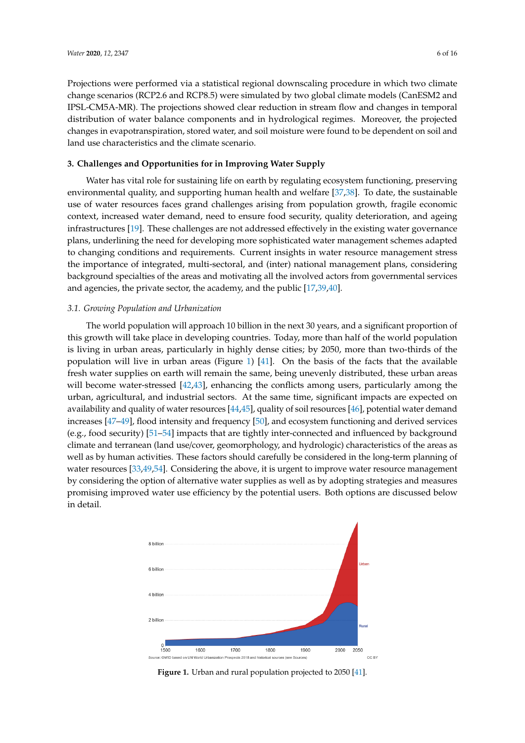Projections were performed via a statistical regional downscaling procedure in which two climate change scenarios (RCP2.6 and RCP8.5) were simulated by two global climate models (CanESM2 and IPSL-CM5A-MR). The projections showed clear reduction in stream flow and changes in temporal distribution of water balance components and in hydrological regimes. Moreover, the projected changes in evapotranspiration, stored water, and soil moisture were found to be dependent on soil and land use characteristics and the climate scenario.

# 3. Challenges and Opportunities for in Improving Water Supply

Water has vital role for sustaining life on earth by regulating ecosystem functioning, preserving environmental quality, and supporting human health and welfare [\[37,](#page-11-7)[38\]](#page-11-8). To date, the sustainable use of water resources faces grand challenges arising from population growth, fragile economic context, increased water demand, need to ensure food security, quality deterioration, and ageing infrastructures  $[19]$ . These challenges are not addressed effectively in the existing water governance plans, underlining the need for developing more sophisticated water management schemes adapted to changing conditions and requirements. Current insights in water resource management stress the importance of integrated, multi-sectoral, and (inter) national management plans, considering background specialties of the areas and motivating all the involved actors from governmental services and agencies, the private sector, the academy, and the public  $[17,39,40]$  $[17,39,40]$  $[17,39,40]$ . mental quanty, and supporting numan nearm and plans, under de verdoping more somhisticated water more sound more sound more sound  $\frac{1}{2}$ 

#### 3.1. Growing Population and Urbanization importance of integrated, multi-sectoral, and (inter) national management plans, considering plans, considering plans, considering  $\alpha$

The world population will approach 10 billion in the next 30 years, and a significant proportion of this growth will take place in developing countries. Today, more than half of the world population *3.1. Growing Population and Urbanization* is living in urban areas, particularly in highly dense cities; by 2050, more than two-thirds of the population will live in urban areas (Figure [1\)](#page-5-0) [\[41\]](#page-11-11). On the basis of the facts that the available fresh water supplies on earth will remain the same, being unevenly distributed, these urban areas will become water-stressed [\[42,](#page-11-12)[43\]](#page-11-13), enhancing the conflicts among users, particularly among the urban, agricultural, and industrial sectors. At the same time, significant impacts are expected on availability and quality of water resources [\[44](#page-11-14)[,45\]](#page-11-15), quality of soil resources [\[46\]](#page-11-16), potential water demand increases [\[47–](#page-11-17)[49\]](#page-11-18), flood intensity and frequency [\[50\]](#page-11-19), and ecosystem functioning and derived services  $($ e.g., food security) [\[51](#page-11-20)[–54\]](#page-12-0) impacts that are tightly inter-connected and influenced by background climate and terranean (land use/cover, geomorphology, and hydrologic) characteristics of the areas as well as by human activities. These factors should carefully be considered in the long-term planning of water resources [\[33](#page-11-3)[,49,](#page-11-18)[54\]](#page-12-0). Considering the above, it is urgent to improve water resource management by considering the option of alternative water supplies as well as by adopting strategies and measures promising improved water use efficiency by the potential users. Both options are discussed below in detail. for  $\theta$  in developing and  $\theta$  (right  $\theta$ ) [41]. On the basis of the halfs that the world  $\alpha$  security) [51–54] impacts that are ughtly inter-connected and immericed by back and measured water ase emerging by the potential asers. Both options are also<br>.  $\mathbf{d}$ .

<span id="page-5-0"></span>

**Figure 1.** Urban and rural population projected to 2050 [[41\]](#page-11-11).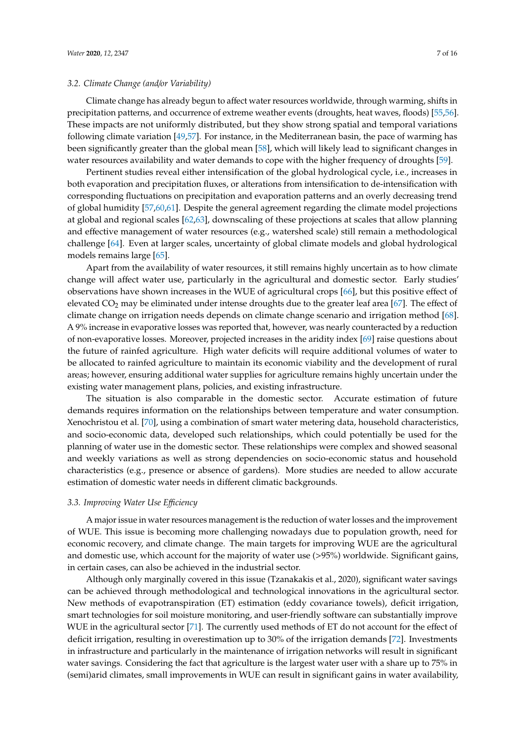#### *3.2. Climate Change (and*/*or Variability)*

Climate change has already begun to affect water resources worldwide, through warming, shifts in precipitation patterns, and occurrence of extreme weather events (droughts, heat waves, floods) [\[55](#page-12-1)[,56\]](#page-12-2). These impacts are not uniformly distributed, but they show strong spatial and temporal variations following climate variation [\[49,](#page-11-18)[57\]](#page-12-3). For instance, in the Mediterranean basin, the pace of warming has been significantly greater than the global mean [\[58\]](#page-12-4), which will likely lead to significant changes in water resources availability and water demands to cope with the higher frequency of droughts [\[59\]](#page-12-5).

Pertinent studies reveal either intensification of the global hydrological cycle, i.e., increases in both evaporation and precipitation fluxes, or alterations from intensification to de-intensification with corresponding fluctuations on precipitation and evaporation patterns and an overly decreasing trend of global humidity [\[57,](#page-12-3)[60,](#page-12-6)[61\]](#page-12-7). Despite the general agreement regarding the climate model projections at global and regional scales [\[62,](#page-12-8)[63\]](#page-12-9), downscaling of these projections at scales that allow planning and effective management of water resources (e.g., watershed scale) still remain a methodological challenge [\[64\]](#page-12-10). Even at larger scales, uncertainty of global climate models and global hydrological models remains large [\[65\]](#page-12-11).

Apart from the availability of water resources, it still remains highly uncertain as to how climate change will affect water use, particularly in the agricultural and domestic sector. Early studies' observations have shown increases in the WUE of agricultural crops [\[66\]](#page-12-12), but this positive effect of elevated  $CO<sub>2</sub>$  may be eliminated under intense droughts due to the greater leaf area [\[67\]](#page-12-13). The effect of climate change on irrigation needs depends on climate change scenario and irrigation method [\[68\]](#page-12-14). A 9% increase in evaporative losses was reported that, however, was nearly counteracted by a reduction of non-evaporative losses. Moreover, projected increases in the aridity index [\[69\]](#page-12-15) raise questions about the future of rainfed agriculture. High water deficits will require additional volumes of water to be allocated to rainfed agriculture to maintain its economic viability and the development of rural areas; however, ensuring additional water supplies for agriculture remains highly uncertain under the existing water management plans, policies, and existing infrastructure.

The situation is also comparable in the domestic sector. Accurate estimation of future demands requires information on the relationships between temperature and water consumption. Xenochristou et al. [\[70\]](#page-12-16), using a combination of smart water metering data, household characteristics, and socio-economic data, developed such relationships, which could potentially be used for the planning of water use in the domestic sector. These relationships were complex and showed seasonal and weekly variations as well as strong dependencies on socio-economic status and household characteristics (e.g., presence or absence of gardens). More studies are needed to allow accurate estimation of domestic water needs in different climatic backgrounds.

# *3.3. Improving Water Use E*ffi*ciency*

A major issue in water resources management is the reduction of water losses and the improvement of WUE. This issue is becoming more challenging nowadays due to population growth, need for economic recovery, and climate change. The main targets for improving WUE are the agricultural and domestic use, which account for the majority of water use (>95%) worldwide. Significant gains, in certain cases, can also be achieved in the industrial sector.

Although only marginally covered in this issue (Tzanakakis et al., 2020), significant water savings can be achieved through methodological and technological innovations in the agricultural sector. New methods of evapotranspiration (ET) estimation (eddy covariance towels), deficit irrigation, smart technologies for soil moisture monitoring, and user-friendly software can substantially improve WUE in the agricultural sector [\[71\]](#page-12-17). The currently used methods of ET do not account for the effect of deficit irrigation, resulting in overestimation up to 30% of the irrigation demands [\[72\]](#page-12-18). Investments in infrastructure and particularly in the maintenance of irrigation networks will result in significant water savings. Considering the fact that agriculture is the largest water user with a share up to 75% in (semi)arid climates, small improvements in WUE can result in significant gains in water availability,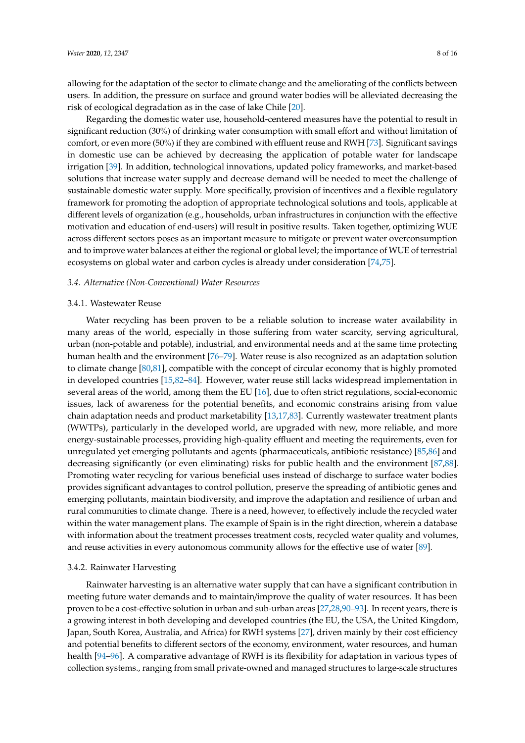allowing for the adaptation of the sector to climate change and the ameliorating of the conflicts between users. In addition, the pressure on surface and ground water bodies will be alleviated decreasing the risk of ecological degradation as in the case of lake Chile [\[20\]](#page-10-10).

Regarding the domestic water use, household-centered measures have the potential to result in significant reduction (30%) of drinking water consumption with small effort and without limitation of comfort, or even more (50%) if they are combined with effluent reuse and RWH [\[73\]](#page-13-0). Significant savings in domestic use can be achieved by decreasing the application of potable water for landscape irrigation [\[39\]](#page-11-9). In addition, technological innovations, updated policy frameworks, and market-based solutions that increase water supply and decrease demand will be needed to meet the challenge of sustainable domestic water supply. More specifically, provision of incentives and a flexible regulatory framework for promoting the adoption of appropriate technological solutions and tools, applicable at different levels of organization (e.g., households, urban infrastructures in conjunction with the effective motivation and education of end-users) will result in positive results. Taken together, optimizing WUE across different sectors poses as an important measure to mitigate or prevent water overconsumption and to improve water balances at either the regional or global level; the importance of WUE of terrestrial ecosystems on global water and carbon cycles is already under consideration [\[74,](#page-13-1)[75\]](#page-13-2).

#### *3.4. Alternative (Non-Conventional) Water Resources*

#### 3.4.1. Wastewater Reuse

Water recycling has been proven to be a reliable solution to increase water availability in many areas of the world, especially in those suffering from water scarcity, serving agricultural, urban (non-potable and potable), industrial, and environmental needs and at the same time protecting human health and the environment [\[76](#page-13-3)[–79\]](#page-13-4). Water reuse is also recognized as an adaptation solution to climate change [\[80](#page-13-5)[,81\]](#page-13-6), compatible with the concept of circular economy that is highly promoted in developed countries [\[15](#page-10-6)[,82](#page-13-7)[–84\]](#page-13-8). However, water reuse still lacks widespread implementation in several areas of the world, among them the EU [\[16\]](#page-10-20), due to often strict regulations, social-economic issues, lack of awareness for the potential benefits, and economic constrains arising from value chain adaptation needs and product marketability [\[13](#page-10-4)[,17,](#page-10-7)[83\]](#page-13-9). Currently wastewater treatment plants (WWTPs), particularly in the developed world, are upgraded with new, more reliable, and more energy-sustainable processes, providing high-quality effluent and meeting the requirements, even for unregulated yet emerging pollutants and agents (pharmaceuticals, antibiotic resistance) [\[85](#page-13-10)[,86\]](#page-13-11) and decreasing significantly (or even eliminating) risks for public health and the environment [\[87,](#page-13-12)[88\]](#page-13-13). Promoting water recycling for various beneficial uses instead of discharge to surface water bodies provides significant advantages to control pollution, preserve the spreading of antibiotic genes and emerging pollutants, maintain biodiversity, and improve the adaptation and resilience of urban and rural communities to climate change. There is a need, however, to effectively include the recycled water within the water management plans. The example of Spain is in the right direction, wherein a database with information about the treatment processes treatment costs, recycled water quality and volumes, and reuse activities in every autonomous community allows for the effective use of water [\[89\]](#page-13-14).

#### 3.4.2. Rainwater Harvesting

Rainwater harvesting is an alternative water supply that can have a significant contribution in meeting future water demands and to maintain/improve the quality of water resources. It has been proven to be a cost-effective solution in urban and sub-urban areas [\[27](#page-10-17)[,28](#page-10-18)[,90–](#page-13-15)[93\]](#page-13-16). In recent years, there is a growing interest in both developing and developed countries (the EU, the USA, the United Kingdom, Japan, South Korea, Australia, and Africa) for RWH systems [\[27\]](#page-10-17), driven mainly by their cost efficiency and potential benefits to different sectors of the economy, environment, water resources, and human health [\[94](#page-14-0)[–96\]](#page-14-1). A comparative advantage of RWH is its flexibility for adaptation in various types of collection systems., ranging from small private-owned and managed structures to large-scale structures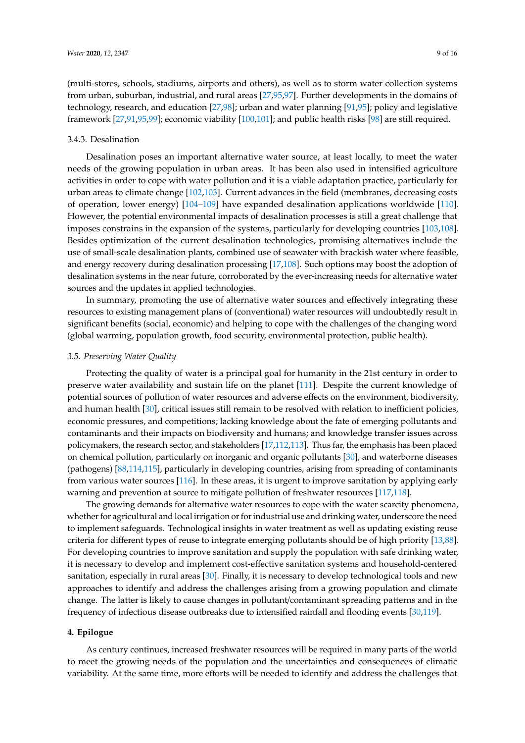(multi-stores, schools, stadiums, airports and others), as well as to storm water collection systems from urban, suburban, industrial, and rural areas [\[27,](#page-10-17)[95,](#page-14-2)[97\]](#page-14-3). Further developments in the domains of technology, research, and education [\[27,](#page-10-17)[98\]](#page-14-4); urban and water planning [\[91,](#page-13-17)[95\]](#page-14-2); policy and legislative framework [\[27](#page-10-17)[,91](#page-13-17)[,95,](#page-14-2)[99\]](#page-14-5); economic viability [\[100,](#page-14-6)[101\]](#page-14-7); and public health risks [\[98\]](#page-14-4) are still required.

#### 3.4.3. Desalination

Desalination poses an important alternative water source, at least locally, to meet the water needs of the growing population in urban areas. It has been also used in intensified agriculture activities in order to cope with water pollution and it is a viable adaptation practice, particularly for urban areas to climate change [\[102,](#page-14-8)[103\]](#page-14-9). Current advances in the field (membranes, decreasing costs of operation, lower energy) [\[104–](#page-14-10)[109\]](#page-14-11) have expanded desalination applications worldwide [\[110\]](#page-14-12). However, the potential environmental impacts of desalination processes is still a great challenge that imposes constrains in the expansion of the systems, particularly for developing countries [\[103,](#page-14-9)[108\]](#page-14-13). Besides optimization of the current desalination technologies, promising alternatives include the use of small-scale desalination plants, combined use of seawater with brackish water where feasible, and energy recovery during desalination processing [\[17](#page-10-7)[,108\]](#page-14-13). Such options may boost the adoption of desalination systems in the near future, corroborated by the ever-increasing needs for alternative water sources and the updates in applied technologies.

In summary, promoting the use of alternative water sources and effectively integrating these resources to existing management plans of (conventional) water resources will undoubtedly result in significant benefits (social, economic) and helping to cope with the challenges of the changing word (global warming, population growth, food security, environmental protection, public health).

# *3.5. Preserving Water Quality*

Protecting the quality of water is a principal goal for humanity in the 21st century in order to preserve water availability and sustain life on the planet [\[111\]](#page-14-14). Despite the current knowledge of potential sources of pollution of water resources and adverse effects on the environment, biodiversity, and human health [\[30\]](#page-11-0), critical issues still remain to be resolved with relation to inefficient policies, economic pressures, and competitions; lacking knowledge about the fate of emerging pollutants and contaminants and their impacts on biodiversity and humans; and knowledge transfer issues across policymakers, the research sector, and stakeholders [\[17](#page-10-7)[,112,](#page-14-15)[113\]](#page-14-16). Thus far, the emphasis has been placed on chemical pollution, particularly on inorganic and organic pollutants [\[30\]](#page-11-0), and waterborne diseases (pathogens) [\[88](#page-13-13)[,114](#page-14-17)[,115\]](#page-14-18), particularly in developing countries, arising from spreading of contaminants from various water sources [\[116\]](#page-14-19). In these areas, it is urgent to improve sanitation by applying early warning and prevention at source to mitigate pollution of freshwater resources [\[117](#page-15-0)[,118\]](#page-15-1).

The growing demands for alternative water resources to cope with the water scarcity phenomena, whether for agricultural and local irrigation or for industrial use and drinking water, underscore the need to implement safeguards. Technological insights in water treatment as well as updating existing reuse criteria for different types of reuse to integrate emerging pollutants should be of high priority [\[13,](#page-10-4)[88\]](#page-13-13). For developing countries to improve sanitation and supply the population with safe drinking water, it is necessary to develop and implement cost-effective sanitation systems and household-centered sanitation, especially in rural areas [\[30\]](#page-11-0). Finally, it is necessary to develop technological tools and new approaches to identify and address the challenges arising from a growing population and climate change. The latter is likely to cause changes in pollutant/contaminant spreading patterns and in the frequency of infectious disease outbreaks due to intensified rainfall and flooding events [\[30,](#page-11-0)[119\]](#page-15-2).

#### **4. Epilogue**

As century continues, increased freshwater resources will be required in many parts of the world to meet the growing needs of the population and the uncertainties and consequences of climatic variability. At the same time, more efforts will be needed to identify and address the challenges that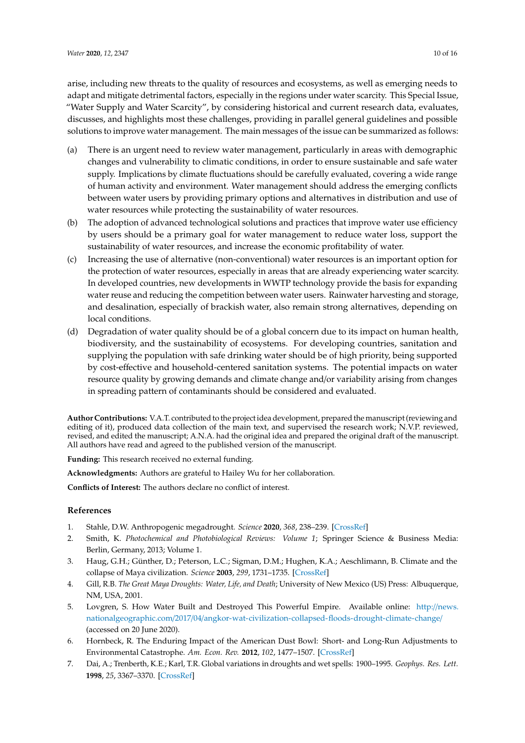arise, including new threats to the quality of resources and ecosystems, as well as emerging needs to adapt and mitigate detrimental factors, especially in the regions under water scarcity. This Special Issue, "Water Supply and Water Scarcity", by considering historical and current research data, evaluates, discusses, and highlights most these challenges, providing in parallel general guidelines and possible solutions to improve water management. The main messages of the issue can be summarized as follows:

- (a) There is an urgent need to review water management, particularly in areas with demographic changes and vulnerability to climatic conditions, in order to ensure sustainable and safe water supply. Implications by climate fluctuations should be carefully evaluated, covering a wide range of human activity and environment. Water management should address the emerging conflicts between water users by providing primary options and alternatives in distribution and use of water resources while protecting the sustainability of water resources.
- (b) The adoption of advanced technological solutions and practices that improve water use efficiency by users should be a primary goal for water management to reduce water loss, support the sustainability of water resources, and increase the economic profitability of water.
- (c) Increasing the use of alternative (non-conventional) water resources is an important option for the protection of water resources, especially in areas that are already experiencing water scarcity. In developed countries, new developments in WWTP technology provide the basis for expanding water reuse and reducing the competition between water users. Rainwater harvesting and storage, and desalination, especially of brackish water, also remain strong alternatives, depending on local conditions.
- (d) Degradation of water quality should be of a global concern due to its impact on human health, biodiversity, and the sustainability of ecosystems. For developing countries, sanitation and supplying the population with safe drinking water should be of high priority, being supported by cost-effective and household-centered sanitation systems. The potential impacts on water resource quality by growing demands and climate change and/or variability arising from changes in spreading pattern of contaminants should be considered and evaluated.

**Author Contributions:** V.A.T. contributed to the project idea development, prepared the manuscript (reviewing and editing of it), produced data collection of the main text, and supervised the research work; N.V.P. reviewed, revised, and edited the manuscript; A.N.A. had the original idea and prepared the original draft of the manuscript. All authors have read and agreed to the published version of the manuscript.

**Funding:** This research received no external funding.

**Acknowledgments:** Authors are grateful to Hailey Wu for her collaboration.

**Conflicts of Interest:** The authors declare no conflict of interest.

## **References**

- <span id="page-9-0"></span>1. Stahle, D.W. Anthropogenic megadrought. *Science* **2020**, *368*, 238–239. [\[CrossRef\]](http://dx.doi.org/10.1126/science.abb6902)
- <span id="page-9-1"></span>2. Smith, K. *Photochemical and Photobiological Reviews: Volume 1*; Springer Science & Business Media: Berlin, Germany, 2013; Volume 1.
- <span id="page-9-2"></span>3. Haug, G.H.; Günther, D.; Peterson, L.C.; Sigman, D.M.; Hughen, K.A.; Aeschlimann, B. Climate and the collapse of Maya civilization. *Science* **2003**, *299*, 1731–1735. [\[CrossRef\]](http://dx.doi.org/10.1126/science.1080444)
- 4. Gill, R.B. *The Great Maya Droughts: Water, Life, and Death*; University of New Mexico (US) Press: Albuquerque, NM, USA, 2001.
- <span id="page-9-3"></span>5. Lovgren, S. How Water Built and Destroyed This Powerful Empire. Available online: http://[news.](http://news.nationalgeographic.com/2017/04/angkor-wat-civilization-collapsed-floods-drought-climate-change/) nationalgeographic.com/2017/04/[angkor-wat-civilization-collapsed-floods-drought-climate-change](http://news.nationalgeographic.com/2017/04/angkor-wat-civilization-collapsed-floods-drought-climate-change/)/ (accessed on 20 June 2020).
- <span id="page-9-4"></span>6. Hornbeck, R. The Enduring Impact of the American Dust Bowl: Short- and Long-Run Adjustments to Environmental Catastrophe. *Am. Econ. Rev.* **2012**, *102*, 1477–1507. [\[CrossRef\]](http://dx.doi.org/10.1257/aer.102.4.1477)
- <span id="page-9-5"></span>7. Dai, A.; Trenberth, K.E.; Karl, T.R. Global variations in droughts and wet spells: 1900–1995. *Geophys. Res. Lett.* **1998**, *25*, 3367–3370. [\[CrossRef\]](http://dx.doi.org/10.1029/98GL52511)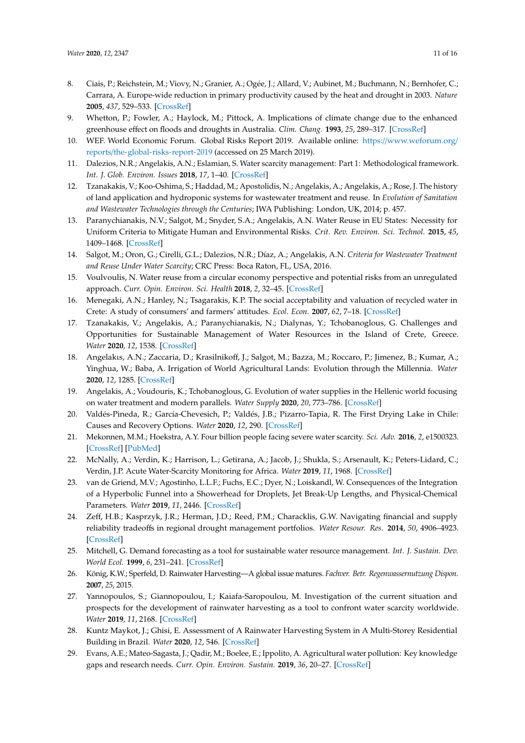- 8. Ciais, P.; Reichstein, M.; Viovy, N.; Granier, A.; Ogée, J.; Allard, V.; Aubinet, M.; Buchmann, N.; Bernhofer, C.; Carrara, A. Europe-wide reduction in primary productivity caused by the heat and drought in 2003. *Nature* **2005**, *437*, 529–533. [\[CrossRef\]](http://dx.doi.org/10.1038/nature03972)
- <span id="page-10-0"></span>9. Whetton, P.; Fowler, A.; Haylock, M.; Pittock, A. Implications of climate change due to the enhanced greenhouse effect on floods and droughts in Australia. *Clim. Chang.* **1993**, *25*, 289–317. [\[CrossRef\]](http://dx.doi.org/10.1007/BF01098378)
- <span id="page-10-1"></span>10. WEF. World Economic Forum. Global Risks Report 2019. Available online: https://[www.weforum.org](https://www.weforum.org/reports/the-global-risks-report-2019)/ reports/[the-global-risks-report-2019](https://www.weforum.org/reports/the-global-risks-report-2019) (accessed on 25 March 2019).
- <span id="page-10-2"></span>11. Dalezios, N.R.; Angelakis, A.N.; Eslamian, S. Water scarcity management: Part 1: Methodological framework. *Int. J. Glob. Environ. Issues* **2018**, *17*, 1–40. [\[CrossRef\]](http://dx.doi.org/10.1504/IJGENVI.2018.090629)
- <span id="page-10-3"></span>12. Tzanakakis, V.; Koo-Oshima, S.; Haddad, M.; Apostolidis, N.; Angelakis, A.; Angelakis, A.; Rose, J. The history of land application and hydroponic systems for wastewater treatment and reuse. In *Evolution of Sanitation and Wastewater Technologies through the Centuries*; IWA Publishing: London, UK, 2014; p. 457.
- <span id="page-10-4"></span>13. Paranychianakis, N.V.; Salgot, M.; Snyder, S.A.; Angelakis, A.N. Water Reuse in EU States: Necessity for Uniform Criteria to Mitigate Human and Environmental Risks. *Crit. Rev. Environ. Sci. Technol.* **2015**, *45*, 1409–1468. [\[CrossRef\]](http://dx.doi.org/10.1080/10643389.2014.955629)
- <span id="page-10-5"></span>14. Salgot, M.; Oron, G.; Cirelli, G.L.; Dalezios, N.R.; Díaz, A.; Angelakis, A.N. *Criteria for Wastewater Treatment and Reuse Under Water Scarcity*; CRC Press: Boca Raton, FL, USA, 2016.
- <span id="page-10-6"></span>15. Voulvoulis, N. Water reuse from a circular economy perspective and potential risks from an unregulated approach. *Curr. Opin. Environ. Sci. Health* **2018**, *2*, 32–45. [\[CrossRef\]](http://dx.doi.org/10.1016/j.coesh.2018.01.005)
- <span id="page-10-20"></span>16. Menegaki, A.N.; Hanley, N.; Tsagarakis, K.P. The social acceptability and valuation of recycled water in Crete: A study of consumers' and farmers' attitudes. *Ecol. Econ.* **2007**, *62*, 7–18. [\[CrossRef\]](http://dx.doi.org/10.1016/j.ecolecon.2007.01.008)
- <span id="page-10-7"></span>17. Tzanakakis, V.; Angelakis, A.; Paranychianakis, N.; Dialynas, Y.; Tchobanoglous, G. Challenges and Opportunities for Sustainable Management of Water Resources in the Island of Crete, Greece. *Water* **2020**, *12*, 1538. [\[CrossRef\]](http://dx.doi.org/10.3390/w12061538)
- <span id="page-10-8"></span>18. Angelakıs, A.N.; Zaccaria, D.; Krasilnikoff, J.; Salgot, M.; Bazza, M.; Roccaro, P.; Jimenez, B.; Kumar, A.; Yinghua, W.; Baba, A. Irrigation of World Agricultural Lands: Evolution through the Millennia. *Water* **2020**, *12*, 1285. [\[CrossRef\]](http://dx.doi.org/10.3390/w12051285)
- <span id="page-10-9"></span>19. Angelakis, A.; Voudouris, K.; Tchobanoglous, G. Evolution of water supplies in the Hellenic world focusing on water treatment and modern parallels. *Water Supply* **2020**, *20*, 773–786. [\[CrossRef\]](http://dx.doi.org/10.2166/ws.2020.032)
- <span id="page-10-10"></span>20. Valdés-Pineda, R.; García-Chevesich, P.; Valdés, J.B.; Pizarro-Tapia, R. The First Drying Lake in Chile: Causes and Recovery Options. *Water* **2020**, *12*, 290. [\[CrossRef\]](http://dx.doi.org/10.3390/w12010290)
- <span id="page-10-11"></span>21. Mekonnen, M.M.; Hoekstra, A.Y. Four billion people facing severe water scarcity. *Sci. Adv.* **2016**, *2*, e1500323. [\[CrossRef\]](http://dx.doi.org/10.1126/sciadv.1500323) [\[PubMed\]](http://www.ncbi.nlm.nih.gov/pubmed/26933676)
- <span id="page-10-12"></span>22. McNally, A.; Verdin, K.; Harrison, L.; Getirana, A.; Jacob, J.; Shukla, S.; Arsenault, K.; Peters-Lidard, C.; Verdin, J.P. Acute Water-Scarcity Monitoring for Africa. *Water* **2019**, *11*, 1968. [\[CrossRef\]](http://dx.doi.org/10.3390/w11101968)
- <span id="page-10-13"></span>23. van de Griend, M.V.; Agostinho, L.L.F.; Fuchs, E.C.; Dyer, N.; Loiskandl, W. Consequences of the Integration of a Hyperbolic Funnel into a Showerhead for Droplets, Jet Break-Up Lengths, and Physical-Chemical Parameters. *Water* **2019**, *11*, 2446. [\[CrossRef\]](http://dx.doi.org/10.3390/w11122446)
- <span id="page-10-14"></span>24. Zeff, H.B.; Kasprzyk, J.R.; Herman, J.D.; Reed, P.M.; Characklis, G.W. Navigating financial and supply reliability tradeoffs in regional drought management portfolios. *Water Resour. Res.* **2014**, *50*, 4906–4923. [\[CrossRef\]](http://dx.doi.org/10.1002/2013WR015126)
- <span id="page-10-15"></span>25. Mitchell, G. Demand forecasting as a tool for sustainable water resource management. *Int. J. Sustain. Dev. World Ecol.* **1999**, *6*, 231–241. [\[CrossRef\]](http://dx.doi.org/10.1080/13504509909470014)
- <span id="page-10-16"></span>26. König, K.W.; Sperfeld, D. Rainwater Harvesting—A global issue matures. *Fachver. Betr. Regenwassernutzung Dispon.* **2007**, *25*, 2015.
- <span id="page-10-17"></span>27. Yannopoulos, S.; Giannopoulou, I.; Kaiafa-Saropoulou, M. Investigation of the current situation and prospects for the development of rainwater harvesting as a tool to confront water scarcity worldwide. *Water* **2019**, *11*, 2168. [\[CrossRef\]](http://dx.doi.org/10.3390/w11102168)
- <span id="page-10-18"></span>28. Kuntz Maykot, J.; Ghisi, E. Assessment of A Rainwater Harvesting System in A Multi-Storey Residential Building in Brazil. *Water* **2020**, *12*, 546. [\[CrossRef\]](http://dx.doi.org/10.3390/w12020546)
- <span id="page-10-19"></span>29. Evans, A.E.; Mateo-Sagasta, J.; Qadir, M.; Boelee, E.; Ippolito, A. Agricultural water pollution: Key knowledge gaps and research needs. *Curr. Opin. Environ. Sustain.* **2019**, *36*, 20–27. [\[CrossRef\]](http://dx.doi.org/10.1016/j.cosust.2018.10.003)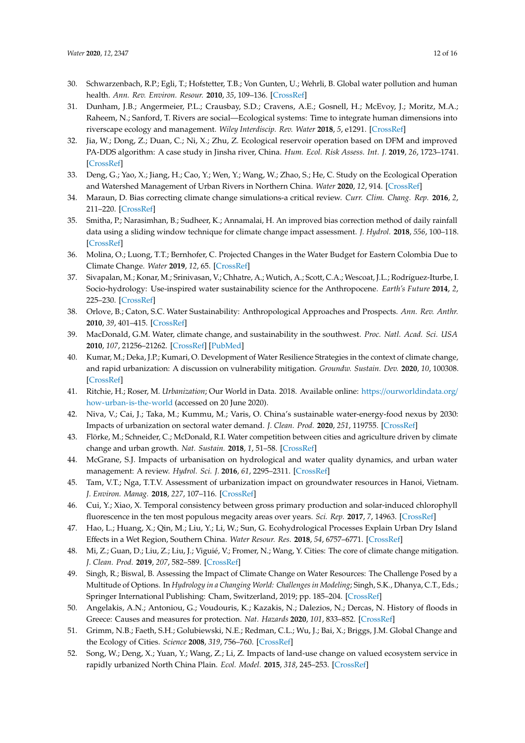- <span id="page-11-0"></span>30. Schwarzenbach, R.P.; Egli, T.; Hofstetter, T.B.; Von Gunten, U.; Wehrli, B. Global water pollution and human health. *Ann. Rev. Environ. Resour.* **2010**, *35*, 109–136. [\[CrossRef\]](http://dx.doi.org/10.1146/annurev-environ-100809-125342)
- <span id="page-11-1"></span>31. Dunham, J.B.; Angermeier, P.L.; Crausbay, S.D.; Cravens, A.E.; Gosnell, H.; McEvoy, J.; Moritz, M.A.; Raheem, N.; Sanford, T. Rivers are social—Ecological systems: Time to integrate human dimensions into riverscape ecology and management. *Wiley Interdiscip. Rev. Water* **2018**, *5*, e1291. [\[CrossRef\]](http://dx.doi.org/10.1002/wat2.1291)
- <span id="page-11-2"></span>32. Jia, W.; Dong, Z.; Duan, C.; Ni, X.; Zhu, Z. Ecological reservoir operation based on DFM and improved PA-DDS algorithm: A case study in Jinsha river, China. *Hum. Ecol. Risk Assess. Int. J.* **2019**, *26*, 1723–1741. [\[CrossRef\]](http://dx.doi.org/10.1080/10807039.2019.1603075)
- <span id="page-11-3"></span>33. Deng, G.; Yao, X.; Jiang, H.; Cao, Y.; Wen, Y.; Wang, W.; Zhao, S.; He, C. Study on the Ecological Operation and Watershed Management of Urban Rivers in Northern China. *Water* **2020**, *12*, 914. [\[CrossRef\]](http://dx.doi.org/10.3390/w12030914)
- <span id="page-11-4"></span>34. Maraun, D. Bias correcting climate change simulations-a critical review. *Curr. Clim. Chang. Rep.* **2016**, *2*, 211–220. [\[CrossRef\]](http://dx.doi.org/10.1007/s40641-016-0050-x)
- <span id="page-11-5"></span>35. Smitha, P.; Narasimhan, B.; Sudheer, K.; Annamalai, H. An improved bias correction method of daily rainfall data using a sliding window technique for climate change impact assessment. *J. Hydrol.* **2018**, *556*, 100–118. [\[CrossRef\]](http://dx.doi.org/10.1016/j.jhydrol.2017.11.010)
- <span id="page-11-6"></span>36. Molina, O.; Luong, T.T.; Bernhofer, C. Projected Changes in the Water Budget for Eastern Colombia Due to Climate Change. *Water* **2019**, *12*, 65. [\[CrossRef\]](http://dx.doi.org/10.3390/w12010065)
- <span id="page-11-7"></span>37. Sivapalan, M.; Konar, M.; Srinivasan, V.; Chhatre, A.; Wutich, A.; Scott, C.A.; Wescoat, J.L.; Rodríguez-Iturbe, I. Socio-hydrology: Use-inspired water sustainability science for the Anthropocene. *Earth's Future* **2014**, *2*, 225–230. [\[CrossRef\]](http://dx.doi.org/10.1002/2013EF000164)
- <span id="page-11-8"></span>38. Orlove, B.; Caton, S.C. Water Sustainability: Anthropological Approaches and Prospects. *Ann. Rev. Anthr.* **2010**, *39*, 401–415. [\[CrossRef\]](http://dx.doi.org/10.1146/annurev.anthro.012809.105045)
- <span id="page-11-9"></span>39. MacDonald, G.M. Water, climate change, and sustainability in the southwest. *Proc. Natl. Acad. Sci. USA* **2010**, *107*, 21256–21262. [\[CrossRef\]](http://dx.doi.org/10.1073/pnas.0909651107) [\[PubMed\]](http://www.ncbi.nlm.nih.gov/pubmed/21149704)
- <span id="page-11-10"></span>40. Kumar, M.; Deka, J.P.; Kumari, O. Development of Water Resilience Strategies in the context of climate change, and rapid urbanization: A discussion on vulnerability mitigation. *Groundw. Sustain. Dev.* **2020**, *10*, 100308. [\[CrossRef\]](http://dx.doi.org/10.1016/j.gsd.2019.100308)
- <span id="page-11-11"></span>41. Ritchie, H.; Roser, M. *Urbanization*; Our World in Data. 2018. Available online: https://[ourworldindata.org](https://ourworldindata.org/how-urban-is-the-world)/ [how-urban-is-the-world](https://ourworldindata.org/how-urban-is-the-world) (accessed on 20 June 2020).
- <span id="page-11-12"></span>42. Niva, V.; Cai, J.; Taka, M.; Kummu, M.; Varis, O. China's sustainable water-energy-food nexus by 2030: Impacts of urbanization on sectoral water demand. *J. Clean. Prod.* **2020**, *251*, 119755. [\[CrossRef\]](http://dx.doi.org/10.1016/j.jclepro.2019.119755)
- <span id="page-11-13"></span>43. Flörke, M.; Schneider, C.; McDonald, R.I. Water competition between cities and agriculture driven by climate change and urban growth. *Nat. Sustain.* **2018**, *1*, 51–58. [\[CrossRef\]](http://dx.doi.org/10.1038/s41893-017-0006-8)
- <span id="page-11-14"></span>44. McGrane, S.J. Impacts of urbanisation on hydrological and water quality dynamics, and urban water management: A review. *Hydrol. Sci. J.* **2016**, *61*, 2295–2311. [\[CrossRef\]](http://dx.doi.org/10.1080/02626667.2015.1128084)
- <span id="page-11-15"></span>45. Tam, V.T.; Nga, T.T.V. Assessment of urbanization impact on groundwater resources in Hanoi, Vietnam. *J. Environ. Manag.* **2018**, *227*, 107–116. [\[CrossRef\]](http://dx.doi.org/10.1016/j.jenvman.2018.08.087)
- <span id="page-11-16"></span>46. Cui, Y.; Xiao, X. Temporal consistency between gross primary production and solar-induced chlorophyll fluorescence in the ten most populous megacity areas over years. *Sci. Rep.* **2017**, *7*, 14963. [\[CrossRef\]](http://dx.doi.org/10.1038/s41598-017-13783-5)
- <span id="page-11-17"></span>47. Hao, L.; Huang, X.; Qin, M.; Liu, Y.; Li, W.; Sun, G. Ecohydrological Processes Explain Urban Dry Island Effects in a Wet Region, Southern China. *Water Resour. Res.* **2018**, *54*, 6757–6771. [\[CrossRef\]](http://dx.doi.org/10.1029/2018WR023002)
- 48. Mi, Z.; Guan, D.; Liu, Z.; Liu, J.; Viguié, V.; Fromer, N.; Wang, Y. Cities: The core of climate change mitigation. *J. Clean. Prod.* **2019**, *207*, 582–589. [\[CrossRef\]](http://dx.doi.org/10.1016/j.jclepro.2018.10.034)
- <span id="page-11-18"></span>49. Singh, R.; Biswal, B. Assessing the Impact of Climate Change on Water Resources: The Challenge Posed by a Multitude of Options. In *Hydrology in a Changing World: Challenges in Modeling*; Singh, S.K., Dhanya, C.T., Eds.; Springer International Publishing: Cham, Switzerland, 2019; pp. 185–204. [\[CrossRef\]](http://dx.doi.org/10.1007/978-3-030-02197-9_9)
- <span id="page-11-19"></span>50. Angelakis, A.N.; Antoniou, G.; Voudouris, K.; Kazakis, N.; Dalezios, N.; Dercas, N. History of floods in Greece: Causes and measures for protection. *Nat. Hazards* **2020**, *101*, 833–852. [\[CrossRef\]](http://dx.doi.org/10.1007/s11069-020-03898-w)
- <span id="page-11-20"></span>51. Grimm, N.B.; Faeth, S.H.; Golubiewski, N.E.; Redman, C.L.; Wu, J.; Bai, X.; Briggs, J.M. Global Change and the Ecology of Cities. *Science* **2008**, *319*, 756–760. [\[CrossRef\]](http://dx.doi.org/10.1126/science.1150195)
- 52. Song, W.; Deng, X.; Yuan, Y.; Wang, Z.; Li, Z. Impacts of land-use change on valued ecosystem service in rapidly urbanized North China Plain. *Ecol. Model.* **2015**, *318*, 245–253. [\[CrossRef\]](http://dx.doi.org/10.1016/j.ecolmodel.2015.01.029)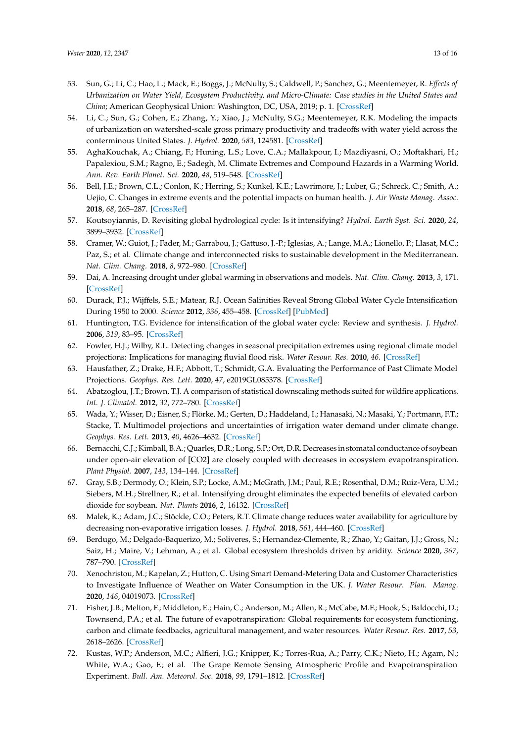- 53. Sun, G.; Li, C.; Hao, L.; Mack, E.; Boggs, J.; McNulty, S.; Caldwell, P.; Sanchez, G.; Meentemeyer, R. *E*ff*ects of Urbanization on Water Yield, Ecosystem Productivity, and Micro-Climate: Case studies in the United States and China*; American Geophysical Union: Washington, DC, USA, 2019; p. 1. [\[CrossRef\]](http://dx.doi.org/10.1002/essoar.10501595.1)
- <span id="page-12-0"></span>54. Li, C.; Sun, G.; Cohen, E.; Zhang, Y.; Xiao, J.; McNulty, S.G.; Meentemeyer, R.K. Modeling the impacts of urbanization on watershed-scale gross primary productivity and tradeoffs with water yield across the conterminous United States. *J. Hydrol.* **2020**, *583*, 124581. [\[CrossRef\]](http://dx.doi.org/10.1016/j.jhydrol.2020.124581)
- <span id="page-12-1"></span>55. AghaKouchak, A.; Chiang, F.; Huning, L.S.; Love, C.A.; Mallakpour, I.; Mazdiyasni, O.; Moftakhari, H.; Papalexiou, S.M.; Ragno, E.; Sadegh, M. Climate Extremes and Compound Hazards in a Warming World. *Ann. Rev. Earth Planet. Sci.* **2020**, *48*, 519–548. [\[CrossRef\]](http://dx.doi.org/10.1146/annurev-earth-071719-055228)
- <span id="page-12-2"></span>56. Bell, J.E.; Brown, C.L.; Conlon, K.; Herring, S.; Kunkel, K.E.; Lawrimore, J.; Luber, G.; Schreck, C.; Smith, A.; Uejio, C. Changes in extreme events and the potential impacts on human health. *J. Air Waste Manag. Assoc.* **2018**, *68*, 265–287. [\[CrossRef\]](http://dx.doi.org/10.1080/10962247.2017.1401017)
- <span id="page-12-3"></span>57. Koutsoyiannis, D. Revisiting global hydrological cycle: Is it intensifying? *Hydrol. Earth Syst. Sci.* **2020**, *24*, 3899–3932. [\[CrossRef\]](http://dx.doi.org/10.5194/hess-24-3899-2020)
- <span id="page-12-4"></span>58. Cramer, W.; Guiot, J.; Fader, M.; Garrabou, J.; Gattuso, J.-P.; Iglesias, A.; Lange, M.A.; Lionello, P.; Llasat, M.C.; Paz, S.; et al. Climate change and interconnected risks to sustainable development in the Mediterranean. *Nat. Clim. Chang.* **2018**, *8*, 972–980. [\[CrossRef\]](http://dx.doi.org/10.1038/s41558-018-0299-2)
- <span id="page-12-5"></span>59. Dai, A. Increasing drought under global warming in observations and models. *Nat. Clim. Chang.* **2013**, *3*, 171. [\[CrossRef\]](http://dx.doi.org/10.1038/nclimate1811)
- <span id="page-12-6"></span>60. Durack, P.J.; Wijffels, S.E.; Matear, R.J. Ocean Salinities Reveal Strong Global Water Cycle Intensification During 1950 to 2000. *Science* **2012**, *336*, 455–458. [\[CrossRef\]](http://dx.doi.org/10.1126/science.1212222) [\[PubMed\]](http://www.ncbi.nlm.nih.gov/pubmed/22539717)
- <span id="page-12-7"></span>61. Huntington, T.G. Evidence for intensification of the global water cycle: Review and synthesis. *J. Hydrol.* **2006**, *319*, 83–95. [\[CrossRef\]](http://dx.doi.org/10.1016/j.jhydrol.2005.07.003)
- <span id="page-12-8"></span>62. Fowler, H.J.; Wilby, R.L. Detecting changes in seasonal precipitation extremes using regional climate model projections: Implications for managing fluvial flood risk. *Water Resour. Res.* **2010**, *46*. [\[CrossRef\]](http://dx.doi.org/10.1029/2008WR007636)
- <span id="page-12-9"></span>63. Hausfather, Z.; Drake, H.F.; Abbott, T.; Schmidt, G.A. Evaluating the Performance of Past Climate Model Projections. *Geophys. Res. Lett.* **2020**, *47*, e2019GL085378. [\[CrossRef\]](http://dx.doi.org/10.1029/2019GL085378)
- <span id="page-12-10"></span>64. Abatzoglou, J.T.; Brown, T.J. A comparison of statistical downscaling methods suited for wildfire applications. *Int. J. Climatol.* **2012**, *32*, 772–780. [\[CrossRef\]](http://dx.doi.org/10.1002/joc.2312)
- <span id="page-12-11"></span>65. Wada, Y.; Wisser, D.; Eisner, S.; Flörke, M.; Gerten, D.; Haddeland, I.; Hanasaki, N.; Masaki, Y.; Portmann, F.T.; Stacke, T. Multimodel projections and uncertainties of irrigation water demand under climate change. *Geophys. Res. Lett.* **2013**, *40*, 4626–4632. [\[CrossRef\]](http://dx.doi.org/10.1002/grl.50686)
- <span id="page-12-12"></span>66. Bernacchi, C.J.; Kimball, B.A.; Quarles, D.R.; Long, S.P.; Ort, D.R. Decreases in stomatal conductance of soybean under open-air elevation of [CO2] are closely coupled with decreases in ecosystem evapotranspiration. *Plant Physiol.* **2007**, *143*, 134–144. [\[CrossRef\]](http://dx.doi.org/10.1104/pp.106.089557)
- <span id="page-12-13"></span>67. Gray, S.B.; Dermody, O.; Klein, S.P.; Locke, A.M.; McGrath, J.M.; Paul, R.E.; Rosenthal, D.M.; Ruiz-Vera, U.M.; Siebers, M.H.; Strellner, R.; et al. Intensifying drought eliminates the expected benefits of elevated carbon dioxide for soybean. *Nat. Plants* **2016**, *2*, 16132. [\[CrossRef\]](http://dx.doi.org/10.1038/nplants.2016.132)
- <span id="page-12-14"></span>68. Malek, K.; Adam, J.C.; Stöckle, C.O.; Peters, R.T. Climate change reduces water availability for agriculture by decreasing non-evaporative irrigation losses. *J. Hydrol.* **2018**, *561*, 444–460. [\[CrossRef\]](http://dx.doi.org/10.1016/j.jhydrol.2017.11.046)
- <span id="page-12-15"></span>69. Berdugo, M.; Delgado-Baquerizo, M.; Soliveres, S.; Hernandez-Clemente, R.; Zhao, Y.; Gaitan, J.J.; Gross, N.; Saiz, H.; Maire, V.; Lehman, A.; et al. Global ecosystem thresholds driven by aridity. *Science* **2020**, *367*, 787–790. [\[CrossRef\]](http://dx.doi.org/10.1126/science.aay5958)
- <span id="page-12-16"></span>70. Xenochristou, M.; Kapelan, Z.; Hutton, C. Using Smart Demand-Metering Data and Customer Characteristics to Investigate Influence of Weather on Water Consumption in the UK. *J. Water Resour. Plan. Manag.* **2020**, *146*, 04019073. [\[CrossRef\]](http://dx.doi.org/10.1061/(ASCE)WR.1943-5452.0001148)
- <span id="page-12-17"></span>71. Fisher, J.B.; Melton, F.; Middleton, E.; Hain, C.; Anderson, M.; Allen, R.; McCabe, M.F.; Hook, S.; Baldocchi, D.; Townsend, P.A.; et al. The future of evapotranspiration: Global requirements for ecosystem functioning, carbon and climate feedbacks, agricultural management, and water resources. *Water Resour. Res.* **2017**, *53*, 2618–2626. [\[CrossRef\]](http://dx.doi.org/10.1002/2016WR020175)
- <span id="page-12-18"></span>72. Kustas, W.P.; Anderson, M.C.; Alfieri, J.G.; Knipper, K.; Torres-Rua, A.; Parry, C.K.; Nieto, H.; Agam, N.; White, W.A.; Gao, F.; et al. The Grape Remote Sensing Atmospheric Profile and Evapotranspiration Experiment. *Bull. Am. Meteorol. Soc.* **2018**, *99*, 1791–1812. [\[CrossRef\]](http://dx.doi.org/10.1175/BAMS-D-16-0244.1)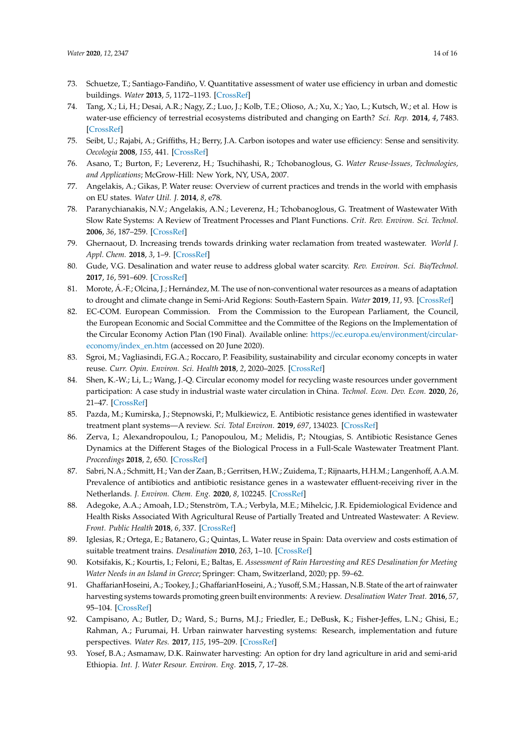- <span id="page-13-0"></span>73. Schuetze, T.; Santiago-Fandiño, V. Quantitative assessment of water use efficiency in urban and domestic buildings. *Water* **2013**, *5*, 1172–1193. [\[CrossRef\]](http://dx.doi.org/10.3390/w5031172)
- <span id="page-13-1"></span>74. Tang, X.; Li, H.; Desai, A.R.; Nagy, Z.; Luo, J.; Kolb, T.E.; Olioso, A.; Xu, X.; Yao, L.; Kutsch, W.; et al. How is water-use efficiency of terrestrial ecosystems distributed and changing on Earth? *Sci. Rep.* **2014**, *4*, 7483. [\[CrossRef\]](http://dx.doi.org/10.1038/srep07483)
- <span id="page-13-2"></span>75. Seibt, U.; Rajabi, A.; Griffiths, H.; Berry, J.A. Carbon isotopes and water use efficiency: Sense and sensitivity. *Oecologia* **2008**, *155*, 441. [\[CrossRef\]](http://dx.doi.org/10.1007/s00442-007-0932-7)
- <span id="page-13-3"></span>76. Asano, T.; Burton, F.; Leverenz, H.; Tsuchihashi, R.; Tchobanoglous, G. *Water Reuse-Issues, Technologies, and Applications*; McGrow-Hill: New York, NY, USA, 2007.
- 77. Angelakis, A.; Gikas, P. Water reuse: Overview of current practices and trends in the world with emphasis on EU states. *Water Util. J.* **2014**, *8*, e78.
- 78. Paranychianakis, N.V.; Angelakis, A.N.; Leverenz, H.; Tchobanoglous, G. Treatment of Wastewater With Slow Rate Systems: A Review of Treatment Processes and Plant Functions. *Crit. Rev. Environ. Sci. Technol.* **2006**, *36*, 187–259. [\[CrossRef\]](http://dx.doi.org/10.1080/10643380500542756)
- <span id="page-13-4"></span>79. Ghernaout, D. Increasing trends towards drinking water reclamation from treated wastewater. *World J. Appl. Chem.* **2018**, *3*, 1–9. [\[CrossRef\]](http://dx.doi.org/10.11648/j.wjac.20180301.11)
- <span id="page-13-5"></span>80. Gude, V.G. Desalination and water reuse to address global water scarcity. *Rev. Environ. Sci. Bio*/*Technol.* **2017**, *16*, 591–609. [\[CrossRef\]](http://dx.doi.org/10.1007/s11157-017-9449-7)
- <span id="page-13-6"></span>81. Morote, Á.-F.; Olcina, J.; Hernández, M. The use of non-conventional water resources as a means of adaptation to drought and climate change in Semi-Arid Regions: South-Eastern Spain. *Water* **2019**, *11*, 93. [\[CrossRef\]](http://dx.doi.org/10.3390/w11010093)
- <span id="page-13-7"></span>82. EC-COM. European Commission. From the Commission to the European Parliament, the Council, the European Economic and Social Committee and the Committee of the Regions on the Implementation of the Circular Economy Action Plan (190 Final). Available online: https://ec.europa.eu/[environment](https://ec.europa.eu/environment/circular-economy/index_en.htm)/circulareconomy/[index\\_en.htm](https://ec.europa.eu/environment/circular-economy/index_en.htm) (accessed on 20 June 2020).
- <span id="page-13-9"></span>83. Sgroi, M.; Vagliasindi, F.G.A.; Roccaro, P. Feasibility, sustainability and circular economy concepts in water reuse. *Curr. Opin. Environ. Sci. Health* **2018**, *2*, 2020–2025. [\[CrossRef\]](http://dx.doi.org/10.1016/j.coesh.2018.01.004)
- <span id="page-13-8"></span>84. Shen, K.-W.; Li, L.; Wang, J.-Q. Circular economy model for recycling waste resources under government participation: A case study in industrial waste water circulation in China. *Technol. Econ. Dev. Econ.* **2020**, *26*, 21–47. [\[CrossRef\]](http://dx.doi.org/10.3846/tede.2019.11249)
- <span id="page-13-10"></span>85. Pazda, M.; Kumirska, J.; Stepnowski, P.; Mulkiewicz, E. Antibiotic resistance genes identified in wastewater treatment plant systems—A review. *Sci. Total Environ.* **2019**, *697*, 134023. [\[CrossRef\]](http://dx.doi.org/10.1016/j.scitotenv.2019.134023)
- <span id="page-13-11"></span>86. Zerva, I.; Alexandropoulou, I.; Panopoulou, M.; Melidis, P.; Ntougias, S. Antibiotic Resistance Genes Dynamics at the Different Stages of the Biological Process in a Full-Scale Wastewater Treatment Plant. *Proceedings* **2018**, *2*, 650. [\[CrossRef\]](http://dx.doi.org/10.3390/proceedings2110650)
- <span id="page-13-12"></span>87. Sabri, N.A.; Schmitt, H.; Van der Zaan, B.; Gerritsen, H.W.; Zuidema, T.; Rijnaarts, H.H.M.; Langenhoff, A.A.M. Prevalence of antibiotics and antibiotic resistance genes in a wastewater effluent-receiving river in the Netherlands. *J. Environ. Chem. Eng.* **2020**, *8*, 102245. [\[CrossRef\]](http://dx.doi.org/10.1016/j.jece.2018.03.004)
- <span id="page-13-13"></span>88. Adegoke, A.A.; Amoah, I.D.; Stenström, T.A.; Verbyla, M.E.; Mihelcic, J.R. Epidemiological Evidence and Health Risks Associated With Agricultural Reuse of Partially Treated and Untreated Wastewater: A Review. *Front. Public Health* **2018**, *6*, 337. [\[CrossRef\]](http://dx.doi.org/10.3389/fpubh.2018.00337)
- <span id="page-13-14"></span>89. Iglesias, R.; Ortega, E.; Batanero, G.; Quintas, L. Water reuse in Spain: Data overview and costs estimation of suitable treatment trains. *Desalination* **2010**, *263*, 1–10. [\[CrossRef\]](http://dx.doi.org/10.1016/j.desal.2010.06.038)
- <span id="page-13-15"></span>90. Kotsifakis, K.; Kourtis, I.; Feloni, E.; Baltas, E. *Assessment of Rain Harvesting and RES Desalination for Meeting Water Needs in an Island in Greece*; Springer: Cham, Switzerland, 2020; pp. 59–62.
- <span id="page-13-17"></span>91. GhaffarianHoseini, A.; Tookey, J.; GhaffarianHoseini, A.; Yusoff, S.M.; Hassan, N.B. State of the art of rainwater harvesting systems towards promoting green built environments: A review. *Desalination Water Treat.* **2016**, *57*, 95–104. [\[CrossRef\]](http://dx.doi.org/10.1080/19443994.2015.1021097)
- 92. Campisano, A.; Butler, D.; Ward, S.; Burns, M.J.; Friedler, E.; DeBusk, K.; Fisher-Jeffes, L.N.; Ghisi, E.; Rahman, A.; Furumai, H. Urban rainwater harvesting systems: Research, implementation and future perspectives. *Water Res.* **2017**, *115*, 195–209. [\[CrossRef\]](http://dx.doi.org/10.1016/j.watres.2017.02.056)
- <span id="page-13-16"></span>93. Yosef, B.A.; Asmamaw, D.K. Rainwater harvesting: An option for dry land agriculture in arid and semi-arid Ethiopia. *Int. J. Water Resour. Environ. Eng.* **2015**, *7*, 17–28.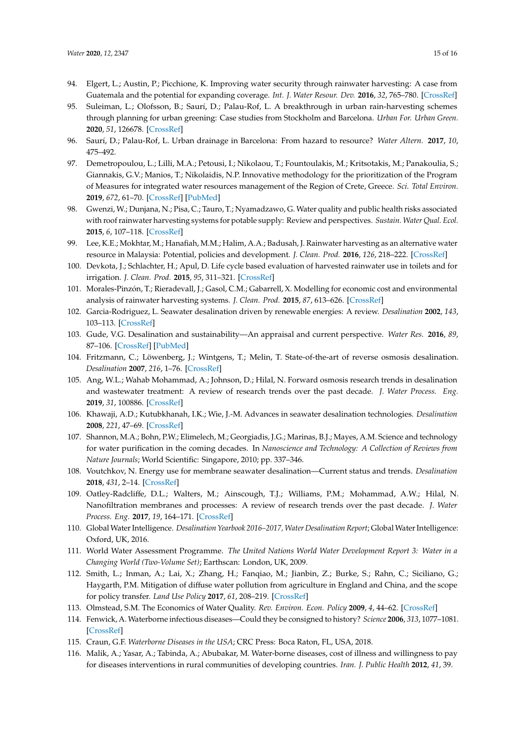- <span id="page-14-0"></span>94. Elgert, L.; Austin, P.; Picchione, K. Improving water security through rainwater harvesting: A case from Guatemala and the potential for expanding coverage. *Int. J. Water Resour. Dev.* **2016**, *32*, 765–780. [\[CrossRef\]](http://dx.doi.org/10.1080/07900627.2015.1104499)
- <span id="page-14-2"></span>95. Suleiman, L.; Olofsson, B.; Saurí, D.; Palau-Rof, L. A breakthrough in urban rain-harvesting schemes through planning for urban greening: Case studies from Stockholm and Barcelona. *Urban For. Urban Green.* **2020**, *51*, 126678. [\[CrossRef\]](http://dx.doi.org/10.1016/j.ufug.2020.126678)
- <span id="page-14-1"></span>96. Saurí, D.; Palau-Rof, L. Urban drainage in Barcelona: From hazard to resource? *Water Altern.* **2017**, *10*, 475–492.
- <span id="page-14-3"></span>97. Demetropoulou, L.; Lilli, M.A.; Petousi, I.; Nikolaou, T.; Fountoulakis, M.; Kritsotakis, M.; Panakoulia, S.; Giannakis, G.V.; Manios, T.; Nikolaidis, N.P. Innovative methodology for the prioritization of the Program of Measures for integrated water resources management of the Region of Crete, Greece. *Sci. Total Environ.* **2019**, *672*, 61–70. [\[CrossRef\]](http://dx.doi.org/10.1016/j.scitotenv.2019.03.397) [\[PubMed\]](http://www.ncbi.nlm.nih.gov/pubmed/30954824)
- <span id="page-14-4"></span>98. Gwenzi, W.; Dunjana, N.; Pisa, C.; Tauro, T.; Nyamadzawo, G. Water quality and public health risks associated with roof rainwater harvesting systems for potable supply: Review and perspectives. *Sustain. Water Qual. Ecol.* **2015**, *6*, 107–118. [\[CrossRef\]](http://dx.doi.org/10.1016/j.swaqe.2015.01.006)
- <span id="page-14-5"></span>99. Lee, K.E.; Mokhtar, M.; Hanafiah, M.M.; Halim, A.A.; Badusah, J. Rainwater harvesting as an alternative water resource in Malaysia: Potential, policies and development. *J. Clean. Prod.* **2016**, *126*, 218–222. [\[CrossRef\]](http://dx.doi.org/10.1016/j.jclepro.2016.03.060)
- <span id="page-14-6"></span>100. Devkota, J.; Schlachter, H.; Apul, D. Life cycle based evaluation of harvested rainwater use in toilets and for irrigation. *J. Clean. Prod.* **2015**, *95*, 311–321. [\[CrossRef\]](http://dx.doi.org/10.1016/j.jclepro.2015.02.021)
- <span id="page-14-7"></span>101. Morales-Pinzón, T.; Rieradevall, J.; Gasol, C.M.; Gabarrell, X. Modelling for economic cost and environmental analysis of rainwater harvesting systems. *J. Clean. Prod.* **2015**, *87*, 613–626. [\[CrossRef\]](http://dx.doi.org/10.1016/j.jclepro.2014.10.021)
- <span id="page-14-8"></span>102. Garcia-Rodriguez, L. Seawater desalination driven by renewable energies: A review. *Desalination* **2002**, *143*, 103–113. [\[CrossRef\]](http://dx.doi.org/10.1016/S0011-9164(02)00232-1)
- <span id="page-14-9"></span>103. Gude, V.G. Desalination and sustainability—An appraisal and current perspective. *Water Res.* **2016**, *89*, 87–106. [\[CrossRef\]](http://dx.doi.org/10.1016/j.watres.2015.11.012) [\[PubMed\]](http://www.ncbi.nlm.nih.gov/pubmed/26641014)
- <span id="page-14-10"></span>104. Fritzmann, C.; Löwenberg, J.; Wintgens, T.; Melin, T. State-of-the-art of reverse osmosis desalination. *Desalination* **2007**, *216*, 1–76. [\[CrossRef\]](http://dx.doi.org/10.1016/j.desal.2006.12.009)
- 105. Ang, W.L.; Wahab Mohammad, A.; Johnson, D.; Hilal, N. Forward osmosis research trends in desalination and wastewater treatment: A review of research trends over the past decade. *J. Water Process. Eng.* **2019**, *31*, 100886. [\[CrossRef\]](http://dx.doi.org/10.1016/j.jwpe.2019.100886)
- 106. Khawaji, A.D.; Kutubkhanah, I.K.; Wie, J.-M. Advances in seawater desalination technologies. *Desalination* **2008**, *221*, 47–69. [\[CrossRef\]](http://dx.doi.org/10.1016/j.desal.2007.01.067)
- 107. Shannon, M.A.; Bohn, P.W.; Elimelech, M.; Georgiadis, J.G.; Marinas, B.J.; Mayes, A.M. Science and technology for water purification in the coming decades. In *Nanoscience and Technology: A Collection of Reviews from Nature Journals*; World Scientific: Singapore, 2010; pp. 337–346.
- <span id="page-14-13"></span>108. Voutchkov, N. Energy use for membrane seawater desalination—Current status and trends. *Desalination* **2018**, *431*, 2–14. [\[CrossRef\]](http://dx.doi.org/10.1016/j.desal.2017.10.033)
- <span id="page-14-11"></span>109. Oatley-Radcliffe, D.L.; Walters, M.; Ainscough, T.J.; Williams, P.M.; Mohammad, A.W.; Hilal, N. Nanofiltration membranes and processes: A review of research trends over the past decade. *J. Water Process. Eng.* **2017**, *19*, 164–171. [\[CrossRef\]](http://dx.doi.org/10.1016/j.jwpe.2017.07.026)
- <span id="page-14-12"></span>110. GlobalWater Intelligence. *Desalination Yearbook 2016–2017, Water Desalination Report*; GlobalWater Intelligence: Oxford, UK, 2016.
- <span id="page-14-14"></span>111. World Water Assessment Programme. *The United Nations World Water Development Report 3: Water in a Changing World (Two-Volume Set)*; Earthscan: London, UK, 2009.
- <span id="page-14-15"></span>112. Smith, L.; Inman, A.; Lai, X.; Zhang, H.; Fanqiao, M.; Jianbin, Z.; Burke, S.; Rahn, C.; Siciliano, G.; Haygarth, P.M. Mitigation of diffuse water pollution from agriculture in England and China, and the scope for policy transfer. *Land Use Policy* **2017**, *61*, 208–219. [\[CrossRef\]](http://dx.doi.org/10.1016/j.landusepol.2016.09.028)
- <span id="page-14-16"></span>113. Olmstead, S.M. The Economics of Water Quality. *Rev. Environ. Econ. Policy* **2009**, *4*, 44–62. [\[CrossRef\]](http://dx.doi.org/10.1093/reep/rep016)
- <span id="page-14-17"></span>114. Fenwick, A. Waterborne infectious diseases—Could they be consigned to history? *Science* **2006**, *313*, 1077–1081. [\[CrossRef\]](http://dx.doi.org/10.1126/science.1127184)
- <span id="page-14-18"></span>115. Craun, G.F. *Waterborne Diseases in the USA*; CRC Press: Boca Raton, FL, USA, 2018.
- <span id="page-14-19"></span>116. Malik, A.; Yasar, A.; Tabinda, A.; Abubakar, M. Water-borne diseases, cost of illness and willingness to pay for diseases interventions in rural communities of developing countries. *Iran. J. Public Health* **2012**, *41*, 39.